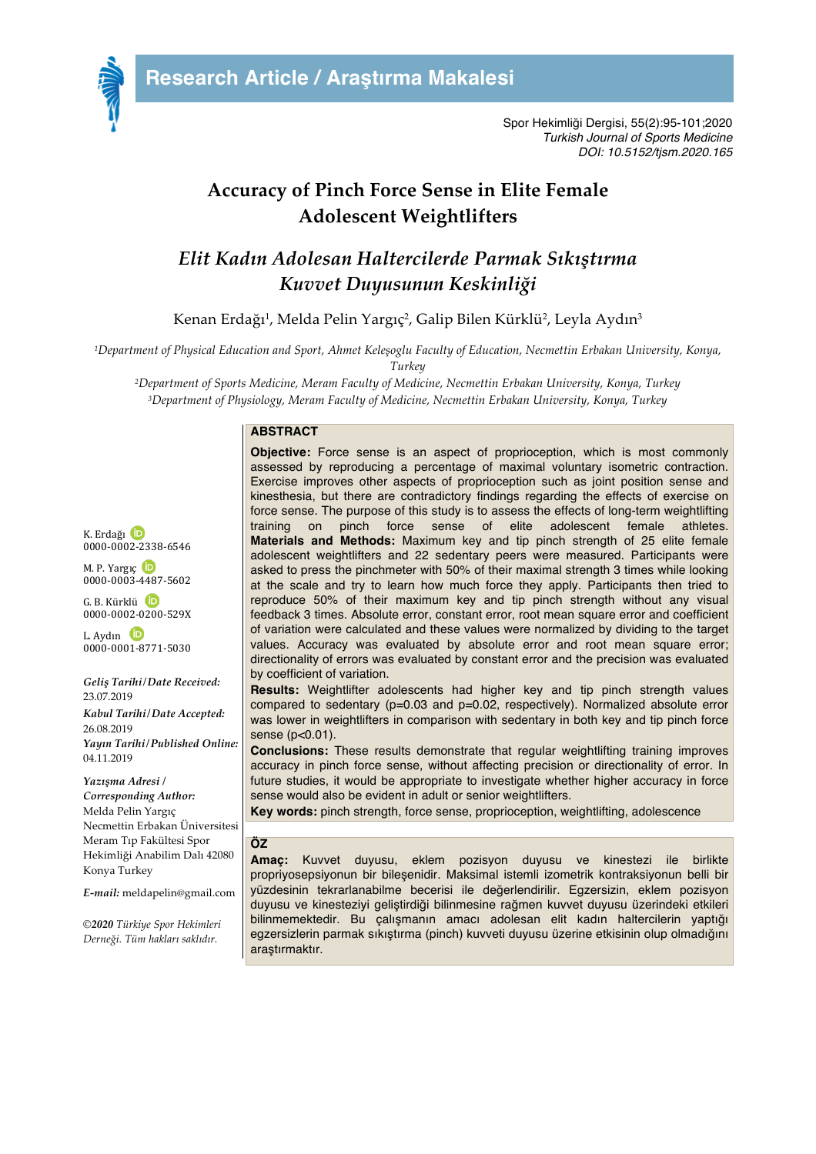

## **Accuracy of Pinch Force Sense in Elite Female Adolescent Weightlifters**

# *Elit Kadın Adolesan Haltercilerde Parmak Sıkıştırma Kuvvet Duyusunun Keskinliği*

Kenan Erdağı<sup>1</sup>, Melda Pelin Yargıç<sup>2</sup>, Galip Bilen Kürklü<sup>2</sup>, Leyla Aydın<sup>3</sup>

*1Department of Physical Education and Sport, Ahmet Keleşoglu Faculty of Education, Necmettin Erbakan University, Konya, Turkey*

*2Department of Sports Medicine, Meram Faculty of Medicine, Necmettin Erbakan University, Konya, Turkey 3Department of Physiology, Meram Faculty of Medicine, Necmettin Erbakan University, Konya, Turkey*

## **ABSTRACT**

K. Erdağı 0000-0002-2338-6546

M. P. Yargıç 0000-0003-4487-5602

 $G$ . R. Kürklü.  $D$ 0000-0002-0200-529X

L. Aydın 0000-0001-8771-5030

*Geliş Tarihi/Date Received:* 23.07.2019 *Kabul Tarihi/Date Accepted:* 26.08.2019 *Yayın Tarihi/Published Online:* 04.11.2019

*Yazışma Adresi / Corresponding Author:* Melda Pelin Yargıç Necmettin Erbakan Üniversitesi Meram Tıp Fakültesi Spor Hekimliği Anabilim Dalı 42080 Konya Turkey

*E-mail:* meldapelin@gmail.com

*©2020 Türkiye Spor Hekimleri Derneği. Tüm hakları saklıdır.*

**Objective:** Force sense is an aspect of proprioception, which is most commonly assessed by reproducing a percentage of maximal voluntary isometric contraction. Exercise improves other aspects of proprioception such as joint position sense and kinesthesia, but there are contradictory findings regarding the effects of exercise on force sense. The purpose of this study is to assess the effects of long-term weightlifting training on pinch force sense of elite adolescent female athletes. **Materials and Methods:** Maximum key and tip pinch strength of 25 elite female adolescent weightlifters and 22 sedentary peers were measured. Participants were asked to press the pinchmeter with 50% of their maximal strength 3 times while looking at the scale and try to learn how much force they apply. Participants then tried to reproduce 50% of their maximum key and tip pinch strength without any visual feedback 3 times. Absolute error, constant error, root mean square error and coefficient of variation were calculated and these values were normalized by dividing to the target values. Accuracy was evaluated by absolute error and root mean square error; directionality of errors was evaluated by constant error and the precision was evaluated by coefficient of variation.

**Results:** Weightlifter adolescents had higher key and tip pinch strength values compared to sedentary (p=0.03 and p=0.02, respectively). Normalized absolute error was lower in weightlifters in comparison with sedentary in both key and tip pinch force sense (p<0.01).

**Conclusions:** These results demonstrate that regular weightlifting training improves accuracy in pinch force sense, without affecting precision or directionality of error. In future studies, it would be appropriate to investigate whether higher accuracy in force sense would also be evident in adult or senior weightlifters.

**Key words:** pinch strength, force sense, proprioception, weightlifting, adolescence

#### **ÖZ**

**Amaç:** Kuvvet duyusu, eklem pozisyon duyusu ve kinestezi ile birlikte propriyosepsiyonun bir bileşenidir. Maksimal istemli izometrik kontraksiyonun belli bir yüzdesinin tekrarlanabilme becerisi ile değerlendirilir. Egzersizin, eklem pozisyon duyusu ve kinesteziyi geliştirdiği bilinmesine rağmen kuvvet duyusu üzerindeki etkileri bilinmemektedir. Bu çalışmanın amacı adolesan elit kadın haltercilerin yaptığı egzersizlerin parmak sıkıştırma (pinch) kuvveti duyusu üzerine etkisinin olup olmadığını araştırmaktır.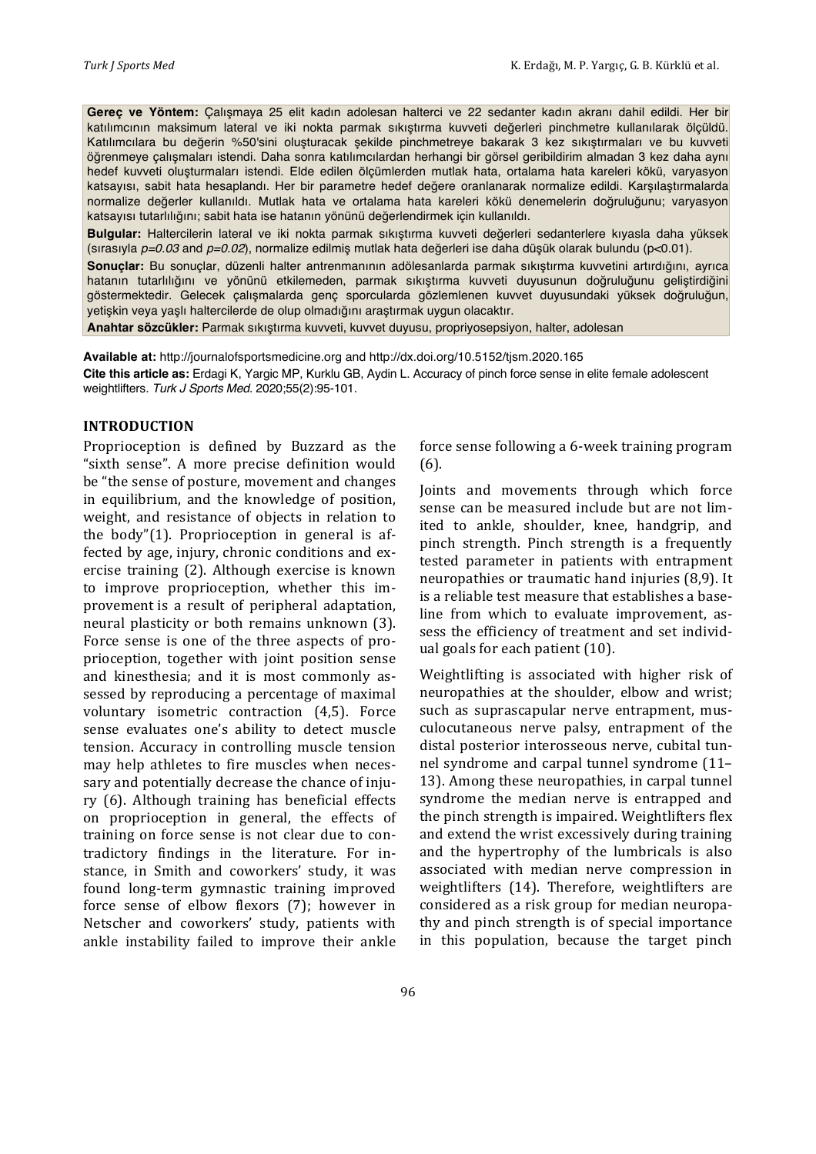**Gereç ve Yöntem:** Çalışmaya 25 elit kadın adolesan halterci ve 22 sedanter kadın akranı dahil edildi. Her bir katılımcının maksimum lateral ve iki nokta parmak sıkıştırma kuvveti değerleri pinchmetre kullanılarak ölçüldü. Katılımcılara bu değerin %50'sini oluşturacak şekilde pinchmetreye bakarak 3 kez sıkıştırmaları ve bu kuvveti öğrenmeye çalışmaları istendi. Daha sonra katılımcılardan herhangi bir görsel geribildirim almadan 3 kez daha aynı hedef kuvveti oluşturmaları istendi. Elde edilen ölçümlerden mutlak hata, ortalama hata kareleri kökü, varyasyon katsayısı, sabit hata hesaplandı. Her bir parametre hedef değere oranlanarak normalize edildi. Karşılaştırmalarda normalize değerler kullanıldı. Mutlak hata ve ortalama hata kareleri kökü denemelerin doğruluğunu; varyasyon katsayısı tutarlılığını; sabit hata ise hatanın yönünü değerlendirmek için kullanıldı.

**Bulgular:** Haltercilerin lateral ve iki nokta parmak sıkıştırma kuvveti değerleri sedanterlere kıyasla daha yüksek (sırasıyla *p=0.03* and *p=0.02*), normalize edilmiş mutlak hata değerleri ise daha düşük olarak bulundu (p<0.01).

**Sonuçlar:** Bu sonuçlar, düzenli halter antrenmanının adölesanlarda parmak sıkıştırma kuvvetini artırdığını, ayrıca hatanın tutarlılığını ve yönünü etkilemeden, parmak sıkıştırma kuvveti duyusunun doğruluğunu geliştirdiğini göstermektedir. Gelecek çalışmalarda genç sporcularda gözlemlenen kuvvet duyusundaki yüksek doğruluğun, yetişkin veya yaşlı haltercilerde de olup olmadığını araştırmak uygun olacaktır.

**Anahtar sözcükler:** Parmak sıkıştırma kuvveti, kuvvet duyusu, propriyosepsiyon, halter, adolesan

**Available at:** http://journalofsportsmedicine.org and http://dx.doi.org/10.5152/tjsm.2020.165 **Cite this article as:** Erdagi K, Yargic MP, Kurklu GB, Aydin L. Accuracy of pinch force sense in elite female adolescent weightlifters. *Turk J Sports Med*. 2020;55(2):95-101.

#### **INTRODUCTION**

Proprioception is defined by Buzzard as the "sixth sense". A more precise definition would be "the sense of posture, movement and changes in equilibrium, and the knowledge of position, weight, and resistance of objects in relation to the body" $(1)$ . Proprioception in general is affected by age, injury, chronic conditions and exercise training (2). Although exercise is known to improve proprioception, whether this improvement is a result of peripheral adaptation, neural plasticity or both remains unknown (3). Force sense is one of the three aspects of proprioception, together with joint position sense and kinesthesia; and it is most commonly assessed by reproducing a percentage of maximal voluntary isometric contraction  $(4,5)$ . Force sense evaluates one's ability to detect muscle tension. Accuracy in controlling muscle tension may help athletes to fire muscles when necessary and potentially decrease the chance of injury (6). Although training has beneficial effects on proprioception in general, the effects of training on force sense is not clear due to contradictory findings in the literature. For instance, in Smith and coworkers' study, it was found long-term gymnastic training improved force sense of elbow flexors  $(7)$ ; however in Netscher and coworkers' study, patients with ankle instability failed to improve their ankle

force sense following a 6-week training program (6). 

Joints and movements through which force sense can be measured include but are not limited to ankle, shoulder, knee, handgrip, and pinch strength. Pinch strength is a frequently tested parameter in patients with entrapment neuropathies or traumatic hand injuries (8,9). It is a reliable test measure that establishes a baseline from which to evaluate improvement, assess the efficiency of treatment and set individual goals for each patient  $(10)$ .

Weightlifting is associated with higher risk of neuropathies at the shoulder, elbow and wrist; such as suprascapular nerve entrapment, musculocutaneous nerve palsy, entrapment of the distal posterior interosseous nerve, cubital tunnel syndrome and carpal tunnel syndrome  $(11-$ 13). Among these neuropathies, in carpal tunnel syndrome the median nerve is entrapped and the pinch strength is impaired. Weightlifters flex and extend the wrist excessively during training and the hypertrophy of the lumbricals is also associated with median nerve compression in weightlifters (14). Therefore, weightlifters are considered as a risk group for median neuropathy and pinch strength is of special importance in this population, because the target pinch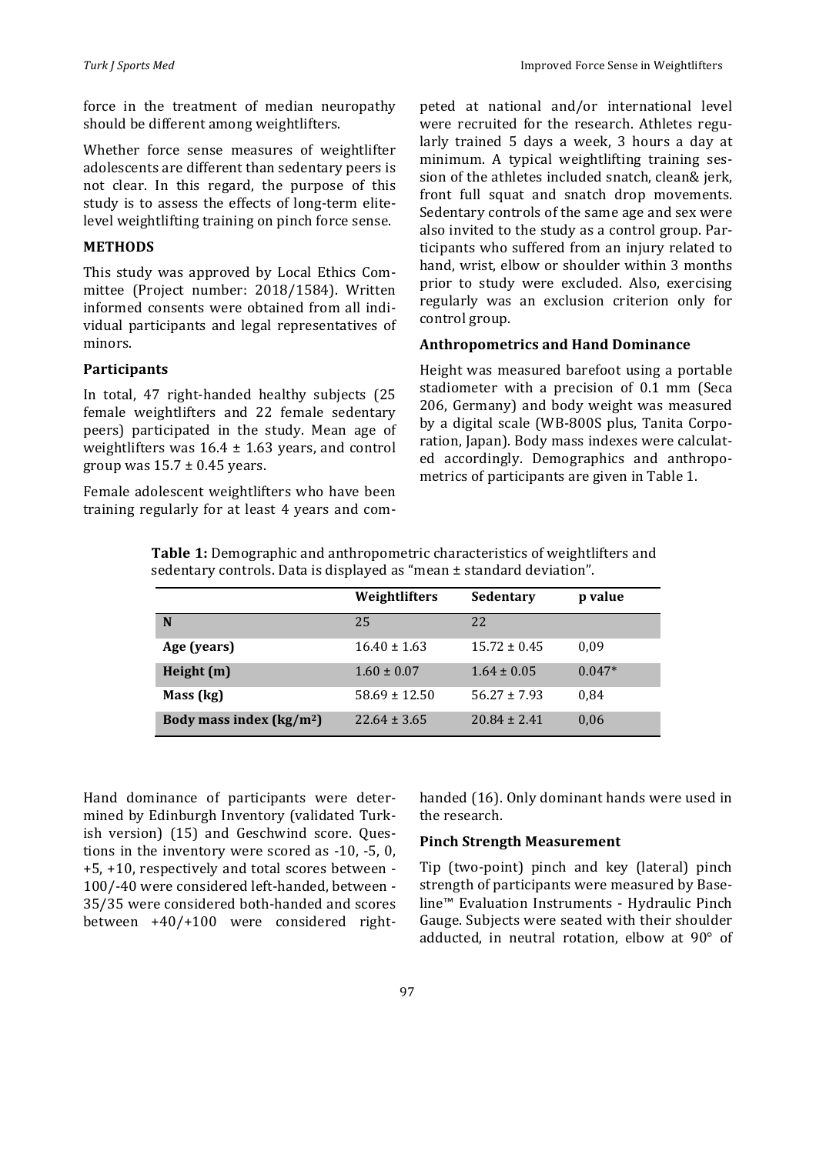force in the treatment of median neuropathy should be different among weightlifters.

Whether force sense measures of weightlifter adolescents are different than sedentary peers is not clear. In this regard, the purpose of this study is to assess the effects of long-term elitelevel weightlifting training on pinch force sense.

## **METHODS**

This study was approved by Local Ethics Committee (Project number: 2018/1584). Written informed consents were obtained from all individual participants and legal representatives of minors. 

## **Participants**

In total, 47 right-handed healthy subjects (25 female weightlifters and 22 female sedentary peers) participated in the study. Mean age of weightlifters was  $16.4 \pm 1.63$  years, and control group was  $15.7 \pm 0.45$  years.

Female adolescent weightlifters who have been training regularly for at least 4 years and competed at national and/or international level were recruited for the research. Athletes regularly trained 5 days a week, 3 hours a day at minimum. A typical weightlifting training session of the athletes included snatch, clean& jerk, front full squat and snatch drop movements. Sedentary controls of the same age and sex were also invited to the study as a control group. Participants who suffered from an injury related to hand, wrist, elbow or shoulder within 3 months prior to study were excluded. Also, exercising regularly was an exclusion criterion only for control group.

## **Anthropometrics and Hand Dominance**

Height was measured barefoot using a portable stadiometer with a precision of 0.1 mm (Seca 206, Germany) and body weight was measured by a digital scale (WB-800S plus, Tanita Corporation, Japan). Body mass indexes were calculated accordingly. Demographics and anthropometrics of participants are given in Table 1.

**Table 1:** Demographic and anthropometric characteristics of weightlifters and sedentary controls. Data is displayed as "mean  $\pm$  standard deviation".

|                           | Weightlifters     | <b>Sedentary</b> | p value  |
|---------------------------|-------------------|------------------|----------|
| N                         | 25                | 22               |          |
| Age (years)               | $16.40 \pm 1.63$  | $15.72 \pm 0.45$ | 0.09     |
| Height (m)                | $1.60 \pm 0.07$   | $1.64 \pm 0.05$  | $0.047*$ |
| Mass (kg)                 | $58.69 \pm 12.50$ | $56.27 \pm 7.93$ | 0.84     |
| Body mass index $(kg/m2)$ | $22.64 \pm 3.65$  | $20.84 \pm 2.41$ | 0.06     |

Hand dominance of participants were determined by Edinburgh Inventory (validated Turkish version) (15) and Geschwind score. Ouestions in the inventory were scored as  $-10$ ,  $-5$ , 0, +5, +10, respectively and total scores between - 100/-40 were considered left-handed, between -35/35 were considered both-handed and scores between  $+40/+100$  were considered righthanded (16). Only dominant hands were used in the research.

#### **Pinch Strength Measurement**

Tip (two-point) pinch and key (lateral) pinch strength of participants were measured by Baseline™ Evaluation Instruments - Hydraulic Pinch Gauge. Subjects were seated with their shoulder adducted, in neutral rotation, elbow at  $90^{\circ}$  of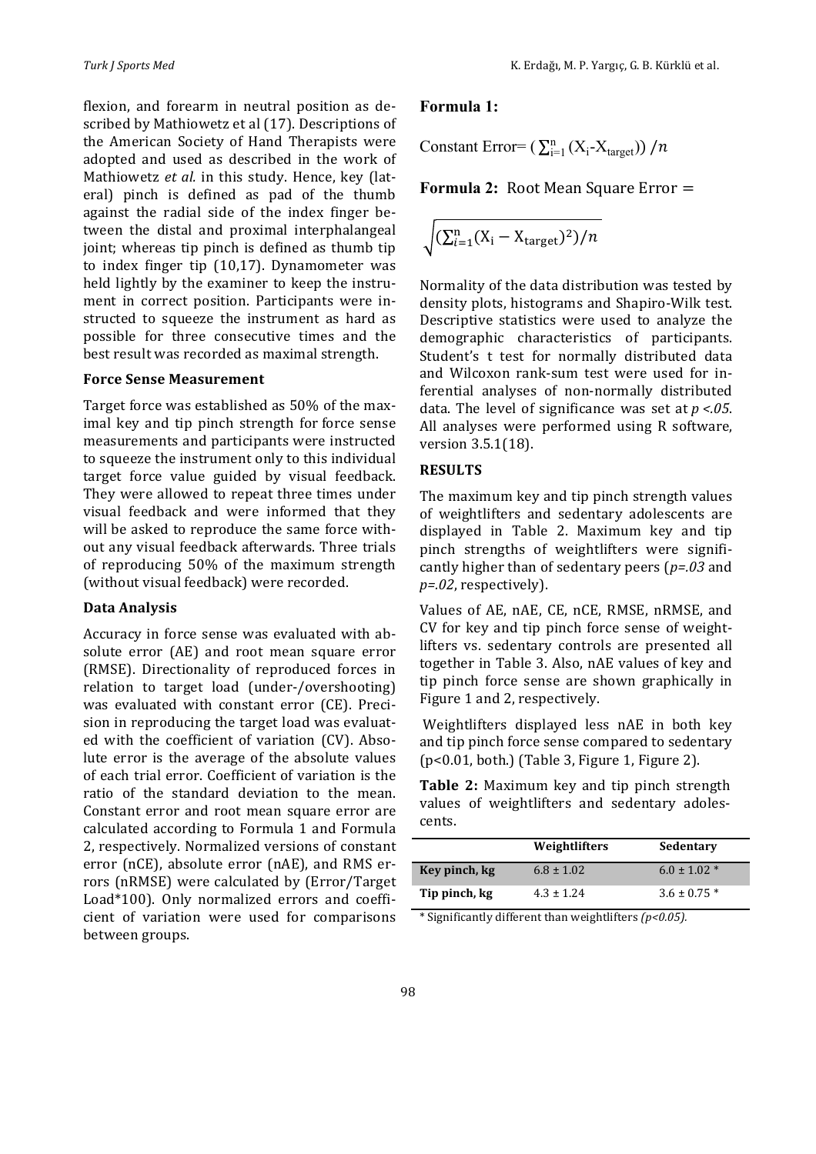flexion, and forearm in neutral position as described by Mathiowetz et al (17). Descriptions of the American Society of Hand Therapists were adopted and used as described in the work of Mathiowetz et al. in this study. Hence, key (lateral) pinch is defined as pad of the thumb against the radial side of the index finger between the distal and proximal interphalangeal joint; whereas tip pinch is defined as thumb tip to index finger tip  $(10,17)$ . Dynamometer was held lightly by the examiner to keep the instrument in correct position. Participants were instructed to squeeze the instrument as hard as possible for three consecutive times and the best result was recorded as maximal strength.

#### **Force Sense Measurement**

Target force was established as 50% of the maximal key and tip pinch strength for force sense measurements and participants were instructed to squeeze the instrument only to this individual target force value guided by visual feedback. They were allowed to repeat three times under visual feedback and were informed that they will be asked to reproduce the same force without any visual feedback afterwards. Three trials of reproducing 50% of the maximum strength (without visual feedback) were recorded.

#### **Data Analysis**

Accuracy in force sense was evaluated with absolute error (AE) and root mean square error (RMSE). Directionality of reproduced forces in relation to target load (under-/overshooting) was evaluated with constant error (CE). Precision in reproducing the target load was evaluated with the coefficient of variation (CV). Absolute error is the average of the absolute values of each trial error. Coefficient of variation is the ratio of the standard deviation to the mean. Constant error and root mean square error are calculated according to Formula 1 and Formula 2, respectively. Normalized versions of constant error ( $nCE$ ), absolute error ( $nAE$ ), and RMS errors (nRMSE) were calculated by (Error/Target Load\*100). Only normalized errors and coefficient of variation were used for comparisons between groups.

## **Formula 1:**

Constant Error=  $(\sum_{i=1}^{n} (X_i - X_{target})) / n$ 

**Formula 2:** Root Mean Square Error =

$$
\sqrt{(\sum_{i=1}^{n} (X_i - X_{\text{target}})^2)/n}
$$

Normality of the data distribution was tested by density plots, histograms and Shapiro-Wilk test. Descriptive statistics were used to analyze the demographic characteristics of participants. Student's t test for normally distributed data and Wilcoxon rank-sum test were used for inferential analyses of non-normally distributed data. The level of significance was set at  $p < .05$ . All analyses were performed using R software, version 3.5.1(18).

## **RESULTS**

The maximum key and tip pinch strength values of weightlifters and sedentary adolescents are displayed in Table 2. Maximum key and tip pinch strengths of weightlifters were significantly higher than of sedentary peers  $(p=0.03)$  and *p=.02*, respectively).

Values of AE, nAE, CE, nCE, RMSE, nRMSE, and CV for key and tip pinch force sense of weightlifters vs. sedentary controls are presented all together in Table 3. Also, nAE values of key and tip pinch force sense are shown graphically in Figure 1 and 2, respectively.

Weightlifters displayed less nAE in both key and tip pinch force sense compared to sedentary  $(p<0.01, both.)$  (Table 3, Figure 1, Figure 2).

**Table 2:** Maximum key and tip pinch strength values of weightlifters and sedentary adolescents.

|               | Weightlifters  | Sedentary        |
|---------------|----------------|------------------|
| Key pinch, kg | $6.8 \pm 1.02$ | $6.0 \pm 1.02$ * |
| Tip pinch, kg | $4.3 \pm 1.24$ | $3.6 \pm 0.75$ * |

\* Significantly different than weightlifters *(p<0.05).*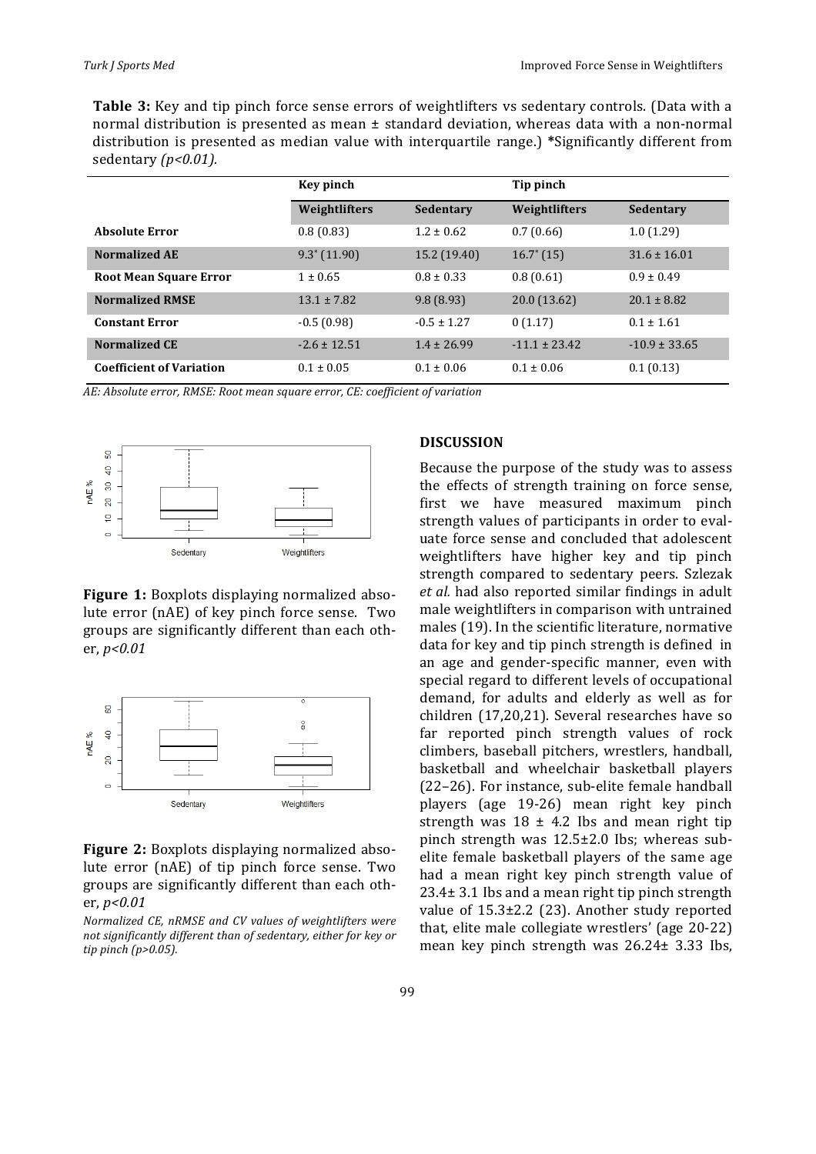**Table 3:** Key and tip pinch force sense errors of weightlifters vs sedentary controls. (Data with a normal distribution is presented as mean  $\pm$  standard deviation, whereas data with a non-normal distribution is presented as median value with interquartile range.) \*Significantly different from sedentary *(p<0.01)*.

|                                 | Key pinch        |                  | Tip pinch         |                   |
|---------------------------------|------------------|------------------|-------------------|-------------------|
|                                 | Weightlifters    | <b>Sedentary</b> | Weightlifters     | Sedentary         |
| <b>Absolute Error</b>           | 0.8(0.83)        | $1.2 \pm 0.62$   | 0.7(0.66)         | 1.0(1.29)         |
| <b>Normalized AE</b>            | $9.3^* (11.90)$  | 15.2 (19.40)     | $16.7^*$ (15)     | $31.6 \pm 16.01$  |
| <b>Root Mean Square Error</b>   | $1 \pm 0.65$     | $0.8 \pm 0.33$   | 0.8(0.61)         | $0.9 \pm 0.49$    |
| <b>Normalized RMSE</b>          | $13.1 \pm 7.82$  | 9.8(8.93)        | 20.0(13.62)       | $20.1 \pm 8.82$   |
| <b>Constant Error</b>           | $-0.5(0.98)$     | $-0.5 \pm 1.27$  | 0(1.17)           | $0.1 \pm 1.61$    |
| <b>Normalized CE</b>            | $-2.6 \pm 12.51$ | $1.4 \pm 26.99$  | $-11.1 \pm 23.42$ | $-10.9 \pm 33.65$ |
| <b>Coefficient of Variation</b> | $0.1 \pm 0.05$   | $0.1 \pm 0.06$   | $0.1 \pm 0.06$    | 0.1(0.13)         |

AE: Absolute error, RMSE: Root mean square error, CE: coefficient of variation



**Figure 1:** Boxplots displaying normalized absolute error (nAE) of key pinch force sense. Two groups are significantly different than each other, *p<0.01*



**Figure 2:** Boxplots displaying normalized absolute error (nAE) of tip pinch force sense. Two groups are significantly different than each other, *p<0.01*

*Normalized CE, nRMSE and CV values of weightlifters were*  not significantly different than of sedentary, either for key or *tip pinch (p>0.05).* 

#### **DISCUSSION**

Because the purpose of the study was to assess the effects of strength training on force sense, first we have measured maximum pinch strength values of participants in order to evaluate force sense and concluded that adolescent weightlifters have higher key and tip pinch strength compared to sedentary peers. Szlezak *et al.* had also reported similar findings in adult male weightlifters in comparison with untrained males (19). In the scientific literature, normative data for key and tip pinch strength is defined in an age and gender-specific manner, even with special regard to different levels of occupational demand, for adults and elderly as well as for children (17,20,21). Several researches have so far reported pinch strength values of rock climbers, baseball pitchers, wrestlers, handball, basketball and wheelchair basketball players (22-26). For instance, sub-elite female handball players (age 19-26) mean right key pinch strength was  $18 \pm 4.2$  Ibs and mean right tip pinch strength was  $12.5\pm2.0$  lbs; whereas subelite female basketball players of the same age had a mean right key pinch strength value of  $23.4\pm 3.1$  Ibs and a mean right tip pinch strength value of  $15.3\pm2.2$  (23). Another study reported that, elite male collegiate wrestlers' (age 20-22) mean key pinch strength was  $26.24 \pm 3.33$  lbs,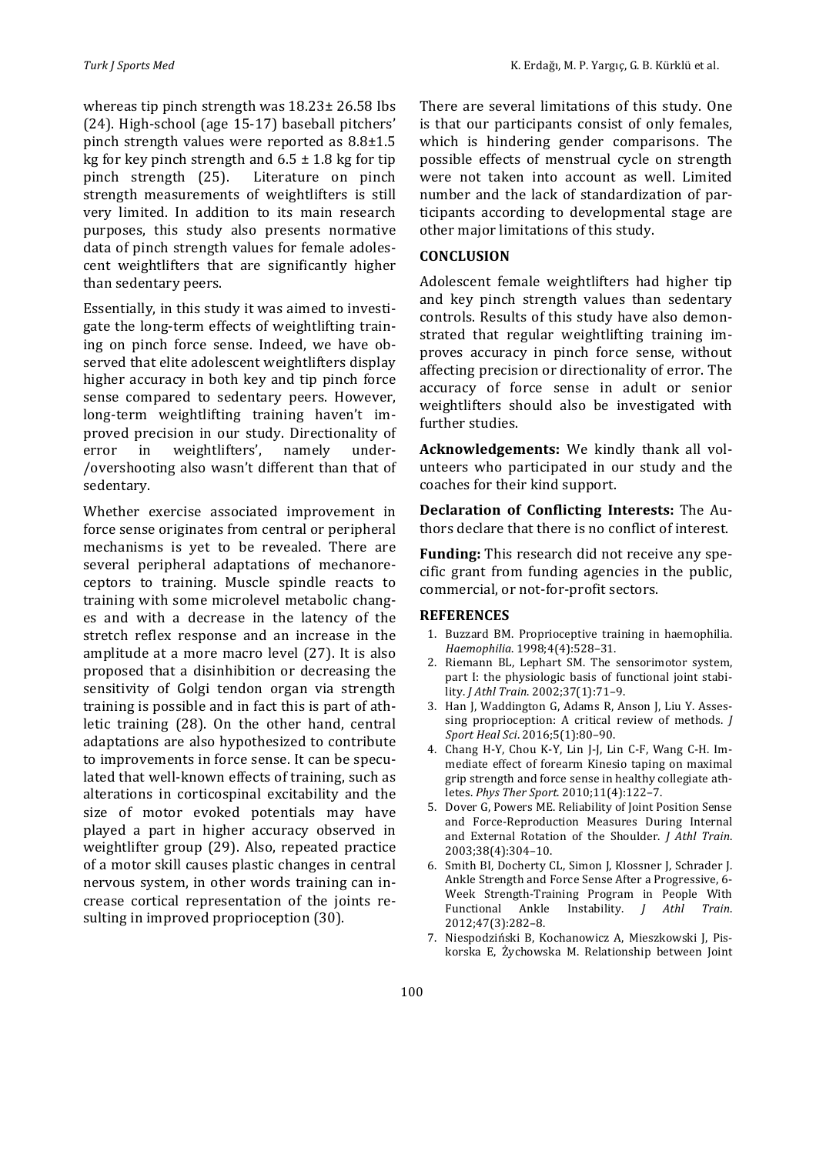whereas tip pinch strength was  $18.23 \pm 26.58$  lbs (24). High-school (age 15-17) baseball pitchers' pinch strength values were reported as  $8.8\pm1.5$ kg for key pinch strength and  $6.5 \pm 1.8$  kg for tip pinch strength (25). Literature on pinch strength measurements of weightlifters is still very limited. In addition to its main research purposes, this study also presents normative data of pinch strength values for female adolescent weightlifters that are significantly higher than sedentary peers.

Essentially, in this study it was aimed to investigate the long-term effects of weightlifting training on pinch force sense. Indeed, we have observed that elite adolescent weightlifters display higher accuracy in both key and tip pinch force sense compared to sedentary peers. However, long-term weightlifting training haven't improved precision in our study. Directionality of error in weightlifters', namely under-/overshooting also wasn't different than that of sedentary. 

Whether exercise associated improvement in force sense originates from central or peripheral mechanisms is yet to be revealed. There are several peripheral adaptations of mechanoreceptors to training. Muscle spindle reacts to training with some microlevel metabolic changes and with a decrease in the latency of the stretch reflex response and an increase in the amplitude at a more macro level (27). It is also proposed that a disinhibition or decreasing the sensitivity of Golgi tendon organ via strength training is possible and in fact this is part of athletic training (28). On the other hand, central adaptations are also hypothesized to contribute to improvements in force sense. It can be speculated that well-known effects of training, such as alterations in corticospinal excitability and the size of motor evoked potentials may have played a part in higher accuracy observed in weightlifter group (29). Also, repeated practice of a motor skill causes plastic changes in central nervous system, in other words training can increase cortical representation of the joints resulting in improved proprioception (30).

There are several limitations of this study. One is that our participants consist of only females, which is hindering gender comparisons. The possible effects of menstrual cycle on strength were not taken into account as well. Limited number and the lack of standardization of participants according to developmental stage are other major limitations of this study.

#### **CONCLUSION**

Adolescent female weightlifters had higher tip and key pinch strength values than sedentary controls. Results of this study have also demonstrated that regular weightlifting training improves accuracy in pinch force sense, without affecting precision or directionality of error. The accuracy of force sense in adult or senior weightlifters should also be investigated with further studies.

**Acknowledgements:** We kindly thank all volunteers who participated in our study and the coaches for their kind support.

**Declaration of Conflicting Interests:** The Authors declare that there is no conflict of interest.

Funding: This research did not receive any specific grant from funding agencies in the public, commercial, or not-for-profit sectors.

#### **REFERENCES**

- 1. Buzzard BM. Proprioceptive training in haemophilia. *Haemophilia*. 1998;4(4):528–31.
- 2. Riemann BL, Lephart SM. The sensorimotor system, part I: the physiologic basis of functional joint stability. *J Athl Train*. 2002;37(1):71–9.
- 3. Han J, Waddington G, Adams R, Anson J, Liu Y. Assessing proprioception: A critical review of methods. *J Sport Heal Sci*. 2016;5(1):80–90.
- 4. Chang H-Y, Chou K-Y, Lin J-J, Lin C-F, Wang C-H. Immediate effect of forearm Kinesio taping on maximal grip strength and force sense in healthy collegiate athletes. *Phys Ther Sport*. 2010;11(4):122–7.
- 5. Dover G, Powers ME. Reliability of Joint Position Sense and Force-Reproduction Measures During Internal and External Rotation of the Shoulder. *J Athl Train*. 2003;38(4):304–10.
- 6. Smith BI, Docherty CL, Simon J, Klossner J, Schrader J. Ankle Strength and Force Sense After a Progressive, 6-Week Strength-Training Program in People With Functional Ankle Instability. *J Athl Train*. 2012;47(3):282–8.
- 7. Niespodziński B, Kochanowicz A, Mieszkowski J, Piskorska E, Żychowska M. Relationship between Joint